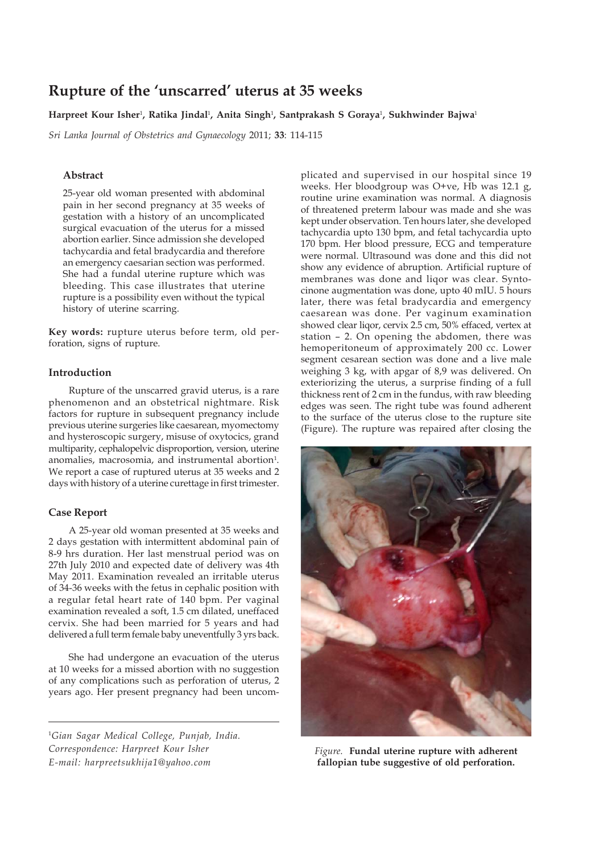# **Rupture of the 'unscarred' uterus at 35 weeks**

**Harpreet Kour Isher**<sup>1</sup> **, Ratika Jindal**<sup>1</sup> **, Anita Singh**<sup>1</sup> **, Santprakash S Goraya**<sup>1</sup> **, Sukhwinder Bajwa**<sup>1</sup>

*Sri Lanka Journal of Obstetrics and Gynaecology* 2011; **33**: 114-115

## **Abstract**

25-year old woman presented with abdominal pain in her second pregnancy at 35 weeks of gestation with a history of an uncomplicated surgical evacuation of the uterus for a missed abortion earlier. Since admission she developed tachycardia and fetal bradycardia and therefore an emergency caesarian section was performed. She had a fundal uterine rupture which was bleeding. This case illustrates that uterine rupture is a possibility even without the typical history of uterine scarring.

**Key words:** rupture uterus before term, old perforation, signs of rupture.

### **Introduction**

Rupture of the unscarred gravid uterus, is a rare phenomenon and an obstetrical nightmare. Risk factors for rupture in subsequent pregnancy include previous uterine surgeries like caesarean, myomectomy and hysteroscopic surgery, misuse of oxytocics, grand multiparity, cephalopelvic disproportion, version, uterine anomalies, macrosomia, and instrumental abortion<sup>1</sup>. We report a case of ruptured uterus at 35 weeks and 2 days with history of a uterine curettage in first trimester.

## **Case Report**

A 25-year old woman presented at 35 weeks and 2 days gestation with intermittent abdominal pain of 8-9 hrs duration. Her last menstrual period was on 27th July 2010 and expected date of delivery was 4th May 2011. Examination revealed an irritable uterus of 34-36 weeks with the fetus in cephalic position with a regular fetal heart rate of 140 bpm. Per vaginal examination revealed a soft, 1.5 cm dilated, uneffaced cervix. She had been married for 5 years and had delivered a full term female baby uneventfully 3 yrs back.

She had undergone an evacuation of the uterus at 10 weeks for a missed abortion with no suggestion of any complications such as perforation of uterus, 2 years ago. Her present pregnancy had been uncom-

<sup>1</sup>*Gian Sagar Medical College, Punjab, India. Correspondence: Harpreet Kour Isher E-mail: harpreetsukhija1@yahoo.com*

plicated and supervised in our hospital since 19 weeks. Her bloodgroup was O+ve, Hb was 12.1 g, routine urine examination was normal. A diagnosis of threatened preterm labour was made and she was kept under observation. Ten hours later, she developed tachycardia upto 130 bpm, and fetal tachycardia upto 170 bpm. Her blood pressure, ECG and temperature were normal. Ultrasound was done and this did not show any evidence of abruption. Artificial rupture of membranes was done and liqor was clear. Syntocinone augmentation was done, upto 40 mIU. 5 hours later, there was fetal bradycardia and emergency caesarean was done. Per vaginum examination showed clear liqor, cervix 2.5 cm, 50% effaced, vertex at station – 2. On opening the abdomen, there was hemoperitoneum of approximately 200 cc. Lower segment cesarean section was done and a live male weighing 3 kg, with apgar of 8,9 was delivered. On exteriorizing the uterus, a surprise finding of a full thickness rent of 2 cm in the fundus, with raw bleeding edges was seen. The right tube was found adherent to the surface of the uterus close to the rupture site (Figure). The rupture was repaired after closing the



*Figure.* **Fundal uterine rupture with adherent fallopian tube suggestive of old perforation.**